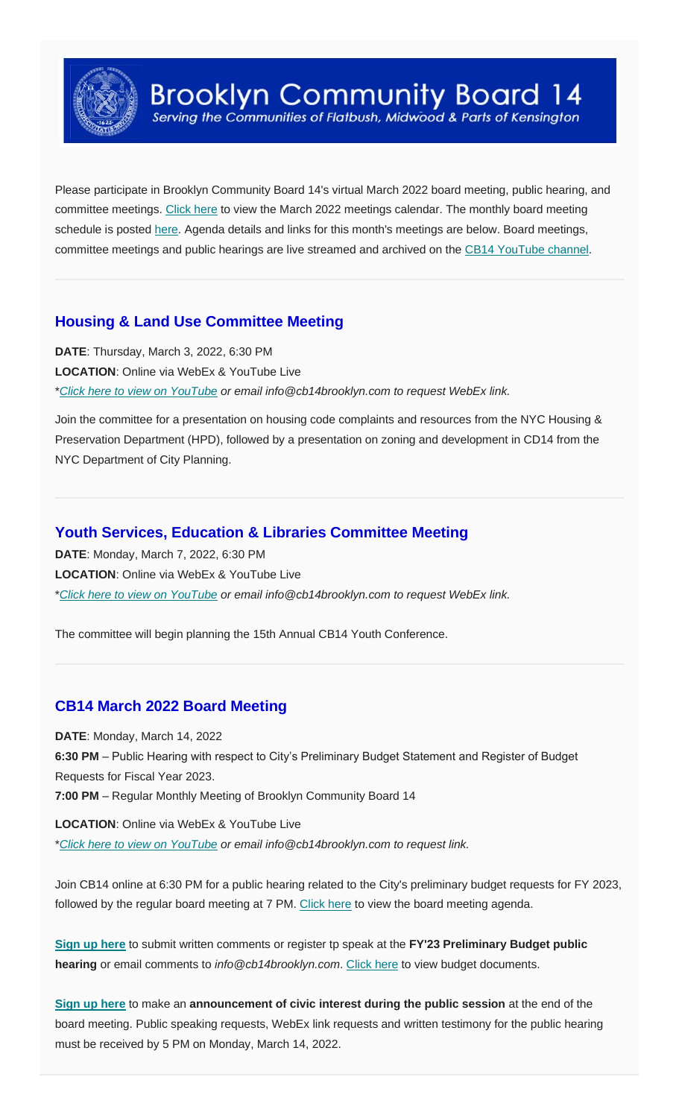

Serving the Communities of Flatbush, Midwood & Parts of Kensington

Please participate in Brooklyn Community Board 14's virtual March 2022 board meeting, public hearing, and committee meetings. [Click here](https://www.cb14brooklyn.com/march-2022-meetings/) to view the March 2022 meetings calendar. The monthly board meeting schedule is posted [here.](https://www.cb14brooklyn.com/fy-2021-22-cb14-monthly-meeting-dates/) Agenda details and links for this month's meetings are below. Board meetings, committee meetings and public hearings are live streamed and archived on the [CB14 YouTube channel](https://www.youtube.com/channel/UC_BAkpXTYFoKdHVRvswVgtg).

## **Housing & Land Use Committee Meeting**

**DATE**: Thursday, March 3, 2022, 6:30 PM **LOCATION**: Online via WebEx & YouTube Live \**[Click here to view on YouTube](https://youtu.be/8bQwb6-z32Y) or email info@cb14brooklyn.com to request WebEx link.*

Join the committee for a presentation on housing code complaints and resources from the NYC Housing & Preservation Department (HPD), followed by a presentation on zoning and development in CD14 from the NYC Department of City Planning.

# **Youth Services, Education & Libraries Committee Meeting**

**DATE**: Monday, March 7, 2022, 6:30 PM **LOCATION**: Online via WebEx & YouTube Live \**[Click here to view on YouTube](https://youtu.be/r63_xHZ8iJw) or email info@cb14brooklyn.com to request WebEx link.*

The committee will begin planning the 15th Annual CB14 Youth Conference.

## **CB14 March 2022 Board Meeting**

**DATE**: Monday, March 14, 2022 **6:30 PM** – Public Hearing with respect to City's Preliminary Budget Statement and Register of Budget Requests for Fiscal Year 2023. **7:00 PM** – Regular Monthly Meeting of Brooklyn Community Board 14

**LOCATION**: Online via WebEx & YouTube Live \**[Click here to view on YouTube](https://youtu.be/1cd-fCr0YjU) or email info@cb14brooklyn.com to request link.*

Join CB14 online at 6:30 PM for a public hearing related to the City's preliminary budget requests for FY 2023, followed by the regular board meeting at 7 PM. [Click here](https://www.cb14brooklyn.com/march-board-meeting/) to view the board meeting agenda.

**[Sign up here](https://docs.google.com/forms/d/e/1FAIpQLSd9PEUO941WArdDFRQ3aqvw4o0Gi0SQcEb68PalPubaudi3gA/viewform)** to submit written comments or register tp speak at the **FY'23 Preliminary Budget public hearing** or email comments to *info@cb14brooklyn.com*. [Click here](https://www.cb14brooklyn.com/community-directory/city-budget/cd14-preliminary-budget-register-fy-2023/) to view budget documents.

**[Sign up here](https://docs.google.com/forms/d/e/1FAIpQLScXNtaajgzCdNY-EmxJLgvU-kuCKHJ00SSb-YQASAyMp54P-A/viewform)** to make an **announcement of civic interest during the public session** at the end of the board meeting. Public speaking requests, WebEx link requests and written testimony for the public hearing must be received by 5 PM on Monday, March 14, 2022.